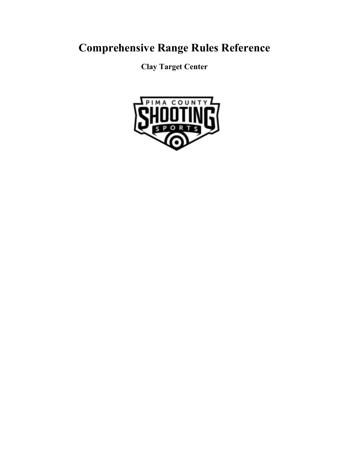# **Comprehensive Range Rules Reference**

**Clay Target Center**

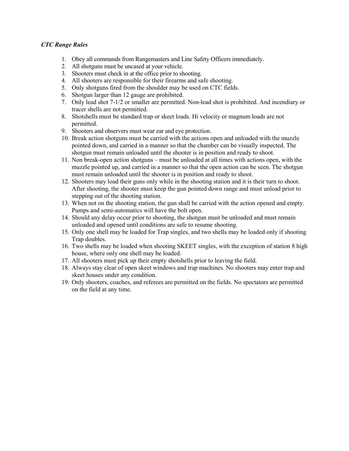#### *CTC Range Rules*

- 1. Obey all commands from Rangemasters and Line Safety Officers immediately.
- 2. All shotguns must be uncased at your vehicle.
- 3. Shooters must check in at the office prior to shooting.
- 4. All shooters are responsible for their firearms and safe shooting.
- 5. Only shotguns fired from the shoulder may be used on CTC fields.
- 6. Shotgun larger than 12 gauge are prohibited.
- 7. Only lead shot 7-1/2 or smaller are permitted. Non-lead shot is prohibited. And incendiary or tracer shells are not permitted.
- 8. Shotshells must be standard trap or skeet loads. Hi velocity or magnum loads are not permitted.
- 9. Shooters and observers must wear ear and eye protection.
- 10. Break action shotguns must be carried with the actions open and unloaded with the muzzle pointed down, and carried in a manner so that the chamber can be visually inspected. The shotgun must remain unloaded until the shooter is in position and ready to shoot.
- 11. Non break-open action shotguns must be unloaded at all times with actions open, with the muzzle pointed up, and carried in a manner so that the open action can be seen. The shotgun must remain unloaded until the shooter is in position and ready to shoot.
- 12. Shooters may load their guns only while in the shooting station and it is their turn to shoot. After shooting, the shooter must keep the gun pointed down range and must unload prior to stepping out of the shooting station.
- 13. When not on the shooting station, the gun shall be carried with the action opened and empty. Pumps and semi-automatics will have the bolt open.
- 14. Should any delay occur prior to shooting, the shotgun must be unloaded and must remain unloaded and opened until conditions are safe to resume shooting.
- 15. Only one shell may be loaded for Trap singles, and two shells may be loaded only if shooting Trap doubles.
- 16. Two shells may be loaded when shooting SKEET singles, with the exception of station 8 high house, where only one shell may be loaded.
- 17. All shooters must pick up their empty shotshells prior to leaving the field.
- 18. Always stay clear of open skeet windows and trap machines. No shooters may enter trap and skeet houses under any condition.
- 19. Only shooters, coaches, and referees are permitted on the fields. No spectators are permitted on the field at any time.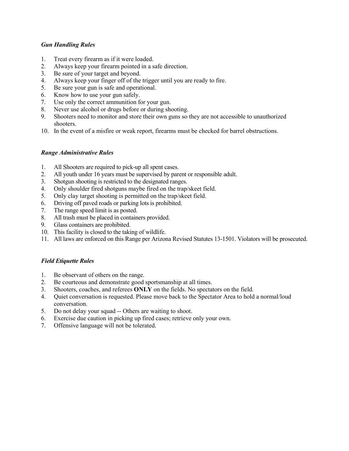### *Gun Handling Rules*

- 1. Treat every firearm as if it were loaded.
- 2. Always keep your firearm pointed in a safe direction.
- 3. Be sure of your target and beyond.
- 4. Always keep your finger off of the trigger until you are ready to fire.
- 5. Be sure your gun is safe and operational.
- 6. Know how to use your gun safely.
- 7. Use only the correct ammunition for your gun.
- 8. Never use alcohol or drugs before or during shooting.
- 9. Shooters need to monitor and store their own guns so they are not accessible to unauthorized shooters.
- 10. In the event of a misfire or weak report, firearms must be checked for barrel obstructions.

### *Range Administrative Rules*

- 1. All Shooters are required to pick-up all spent cases.
- 2. All youth under 16 years must be supervised by parent or responsible adult.
- 3. Shotgun shooting is restricted to the designated ranges.
- 4. Only shoulder fired shotguns maybe fired on the trap/skeet field.
- 5. Only clay target shooting is permitted on the trap/skeet field.
- 6. Driving off paved roads or parking lots is prohibited.
- 7. The range speed limit is as posted.
- 8. All trash must be placed in containers provided.
- 9. Glass containers are prohibited.
- 10. This facility is closed to the taking of wildlife.
- 11. All laws are enforced on this Range per Arizona Revised Statutes 13-1501. Violators will be prosecuted.

# *Field Etiquette Rules*

- 1. Be observant of others on the range.
- 2. Be courteous and demonstrate good sportsmanship at all times.
- 3. Shooters, coaches, and referees **ONLY** on the fields. No spectators on the field.
- 4. Quiet conversation is requested. Please move back to the Spectator Area to hold a normal/loud conversation.
- 5. Do not delay your squad -- Others are waiting to shoot.
- 6. Exercise due caution in picking up fired cases; retrieve only your own.
- 7. Offensive language will not be tolerated.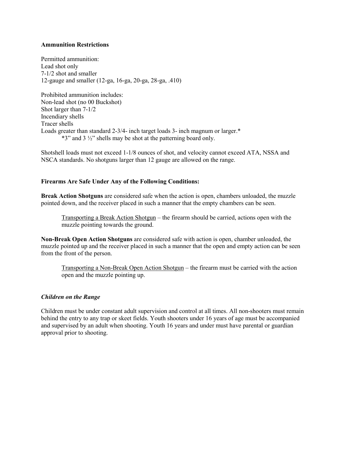#### **Ammunition Restrictions**

Permitted ammunition: Lead shot only 7-1/2 shot and smaller 12-gauge and smaller (12-ga, 16-ga, 20-ga, 28-ga, .410)

Prohibited ammunition includes: Non-lead shot (no 00 Buckshot) Shot larger than 7-1/2 Incendiary shells Tracer shells Loads greater than standard 2-3/4- inch target loads 3- inch magnum or larger.\* \*3" and 3 ½" shells may be shot at the patterning board only.

Shotshell loads must not exceed 1-1/8 ounces of shot, and velocity cannot exceed ATA, NSSA and NSCA standards. No shotguns larger than 12 gauge are allowed on the range.

### **Firearms Are Safe Under Any of the Following Conditions:**

**Break Action Shotguns** are considered safe when the action is open, chambers unloaded, the muzzle pointed down, and the receiver placed in such a manner that the empty chambers can be seen.

Transporting a Break Action Shotgun – the firearm should be carried, actions open with the muzzle pointing towards the ground.

**Non-Break Open Action Shotguns** are considered safe with action is open, chamber unloaded, the muzzle pointed up and the receiver placed in such a manner that the open and empty action can be seen from the front of the person.

Transporting a Non-Break Open Action Shotgun – the firearm must be carried with the action open and the muzzle pointing up.

#### *Children on the Range*

Children must be under constant adult supervision and control at all times. All non-shooters must remain behind the entry to any trap or skeet fields. Youth shooters under 16 years of age must be accompanied and supervised by an adult when shooting. Youth 16 years and under must have parental or guardian approval prior to shooting.